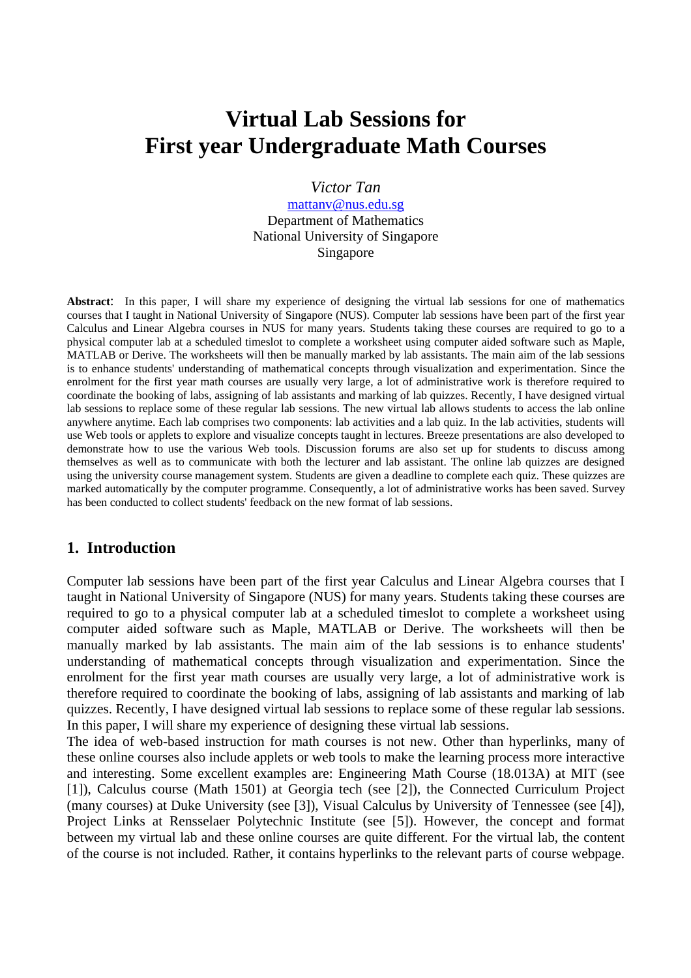# **Virtual Lab Sessions for First year Undergraduate Math Courses**

*Victor Tan* 

mattanv@nus.edu.sg Department of Mathematics National University of Singapore Singapore

**Abstract**: In this paper, I will share my experience of designing the virtual lab sessions for one of mathematics courses that I taught in National University of Singapore (NUS). Computer lab sessions have been part of the first year Calculus and Linear Algebra courses in NUS for many years. Students taking these courses are required to go to a physical computer lab at a scheduled timeslot to complete a worksheet using computer aided software such as Maple, MATLAB or Derive. The worksheets will then be manually marked by lab assistants. The main aim of the lab sessions is to enhance students' understanding of mathematical concepts through visualization and experimentation. Since the enrolment for the first year math courses are usually very large, a lot of administrative work is therefore required to coordinate the booking of labs, assigning of lab assistants and marking of lab quizzes. Recently, I have designed virtual lab sessions to replace some of these regular lab sessions. The new virtual lab allows students to access the lab online anywhere anytime. Each lab comprises two components: lab activities and a lab quiz. In the lab activities, students will use Web tools or applets to explore and visualize concepts taught in lectures. Breeze presentations are also developed to demonstrate how to use the various Web tools. Discussion forums are also set up for students to discuss among themselves as well as to communicate with both the lecturer and lab assistant. The online lab quizzes are designed using the university course management system. Students are given a deadline to complete each quiz. These quizzes are marked automatically by the computer programme. Consequently, a lot of administrative works has been saved. Survey has been conducted to collect students' feedback on the new format of lab sessions.

## **1. Introduction**

Computer lab sessions have been part of the first year Calculus and Linear Algebra courses that I taught in National University of Singapore (NUS) for many years. Students taking these courses are required to go to a physical computer lab at a scheduled timeslot to complete a worksheet using computer aided software such as Maple, MATLAB or Derive. The worksheets will then be manually marked by lab assistants. The main aim of the lab sessions is to enhance students' understanding of mathematical concepts through visualization and experimentation. Since the enrolment for the first year math courses are usually very large, a lot of administrative work is therefore required to coordinate the booking of labs, assigning of lab assistants and marking of lab quizzes. Recently, I have designed virtual lab sessions to replace some of these regular lab sessions. In this paper, I will share my experience of designing these virtual lab sessions.

The idea of web-based instruction for math courses is not new. Other than hyperlinks, many of these online courses also include applets or web tools to make the learning process more interactive and interesting. Some excellent examples are: Engineering Math Course (18.013A) at MIT (see [1]), Calculus course (Math 1501) at Georgia tech (see [2]), the Connected Curriculum Project (many courses) at Duke University (see [3]), Visual Calculus by University of Tennessee (see [4]), Project Links at Rensselaer Polytechnic Institute (see [5]). However, the concept and format between my virtual lab and these online courses are quite different. For the virtual lab, the content of the course is not included. Rather, it contains hyperlinks to the relevant parts of course webpage.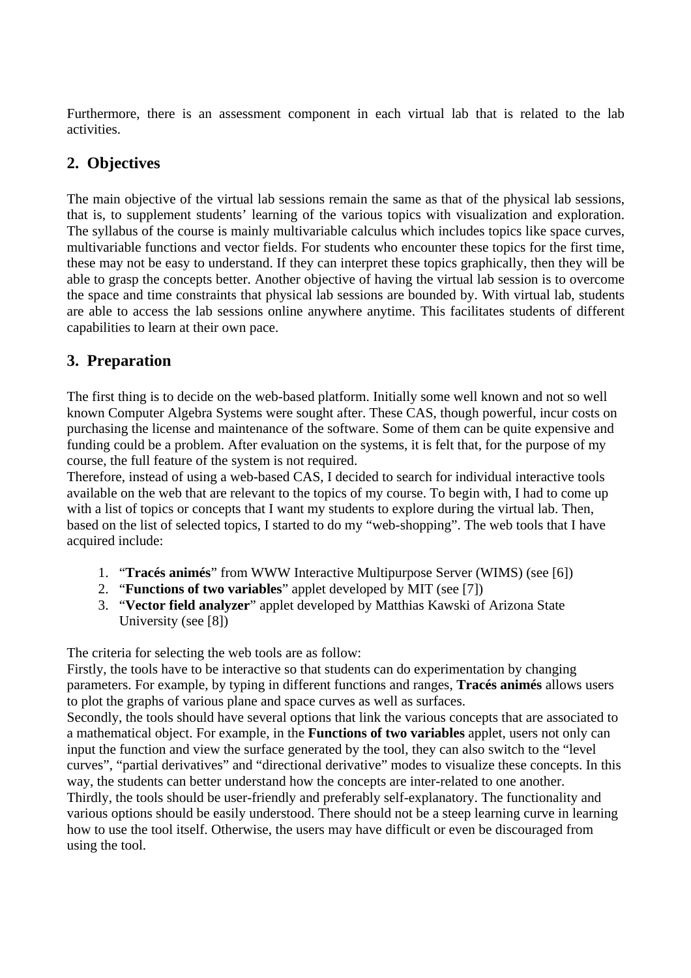Furthermore, there is an assessment component in each virtual lab that is related to the lab activities.

# **2. Objectives**

The main objective of the virtual lab sessions remain the same as that of the physical lab sessions, that is, to supplement students' learning of the various topics with visualization and exploration. The syllabus of the course is mainly multivariable calculus which includes topics like space curves, multivariable functions and vector fields. For students who encounter these topics for the first time, these may not be easy to understand. If they can interpret these topics graphically, then they will be able to grasp the concepts better. Another objective of having the virtual lab session is to overcome the space and time constraints that physical lab sessions are bounded by. With virtual lab, students are able to access the lab sessions online anywhere anytime. This facilitates students of different capabilities to learn at their own pace.

# **3. Preparation**

The first thing is to decide on the web-based platform. Initially some well known and not so well known Computer Algebra Systems were sought after. These CAS, though powerful, incur costs on purchasing the license and maintenance of the software. Some of them can be quite expensive and funding could be a problem. After evaluation on the systems, it is felt that, for the purpose of my course, the full feature of the system is not required.

Therefore, instead of using a web-based CAS, I decided to search for individual interactive tools available on the web that are relevant to the topics of my course. To begin with, I had to come up with a list of topics or concepts that I want my students to explore during the virtual lab. Then, based on the list of selected topics, I started to do my "web-shopping". The web tools that I have acquired include:

- 1. "**Tracés animés**" from WWW Interactive Multipurpose Server (WIMS) (see [6])
- 2. "**Functions of two variables**" applet developed by MIT (see [7])
- 3. "**Vector field analyzer**" applet developed by Matthias Kawski of Arizona State University (see [8])

The criteria for selecting the web tools are as follow:

Firstly, the tools have to be interactive so that students can do experimentation by changing parameters. For example, by typing in different functions and ranges, **Tracés animés** allows users to plot the graphs of various plane and space curves as well as surfaces.

Secondly, the tools should have several options that link the various concepts that are associated to a mathematical object. For example, in the **Functions of two variables** applet, users not only can input the function and view the surface generated by the tool, they can also switch to the "level curves", "partial derivatives" and "directional derivative" modes to visualize these concepts. In this way, the students can better understand how the concepts are inter-related to one another. Thirdly, the tools should be user-friendly and preferably self-explanatory. The functionality and various options should be easily understood. There should not be a steep learning curve in learning how to use the tool itself. Otherwise, the users may have difficult or even be discouraged from using the tool.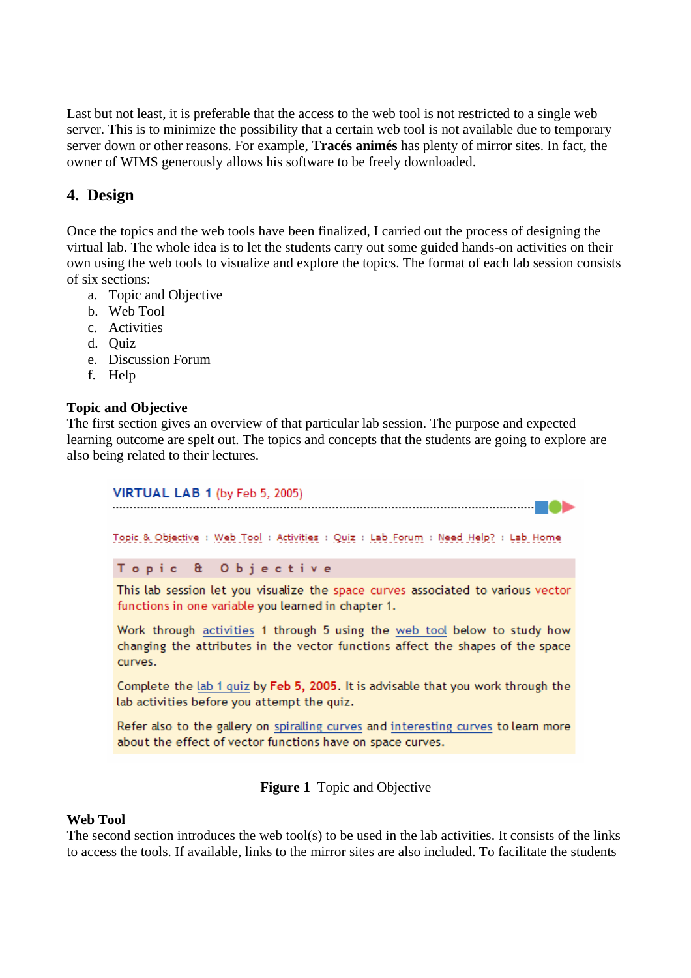Last but not least, it is preferable that the access to the web tool is not restricted to a single web server. This is to minimize the possibility that a certain web tool is not available due to temporary server down or other reasons. For example, **Tracés animés** has plenty of mirror sites. In fact, the owner of WIMS generously allows his software to be freely downloaded.

# **4. Design**

Once the topics and the web tools have been finalized, I carried out the process of designing the virtual lab. The whole idea is to let the students carry out some guided hands-on activities on their own using the web tools to visualize and explore the topics. The format of each lab session consists of six sections:

- a. Topic and Objective
- b. Web Tool
- c. Activities
- d. Quiz
- e. Discussion Forum
- f. Help

#### **Topic and Objective**

The first section gives an overview of that particular lab session. The purpose and expected learning outcome are spelt out. The topics and concepts that the students are going to explore are also being related to their lectures.

#### VIRTUAL LAB 1 (by Feb 5, 2005)

Topic & Objective : Web Tool : Activities : Quiz : Lab Forum : Need Help? : Lab Home

Topic & Objective

This lab session let you visualize the space curves associated to various vector functions in one variable you learned in chapter 1.

Work through activities 1 through 5 using the web tool below to study how changing the attributes in the vector functions affect the shapes of the space curves.

Complete the lab 1 quiz by Feb 5, 2005. It is advisable that you work through the lab activities before you attempt the quiz.

Refer also to the gallery on spiralling curves and interesting curves to learn more about the effect of vector functions have on space curves.

**Figure 1** Topic and Objective

#### **Web Tool**

The second section introduces the web tool(s) to be used in the lab activities. It consists of the links to access the tools. If available, links to the mirror sites are also included. To facilitate the students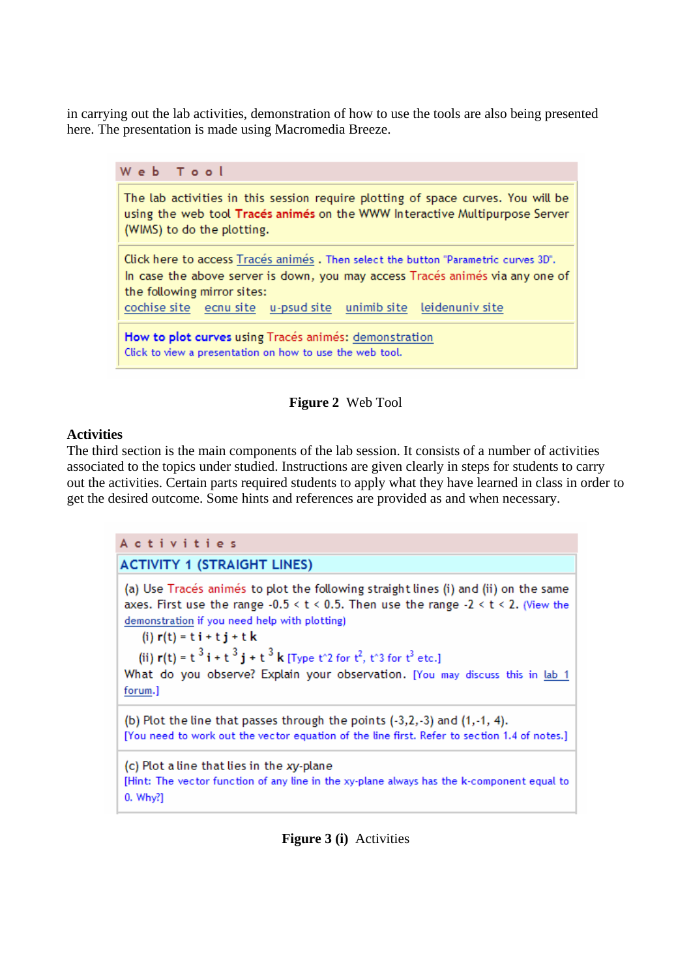in carrying out the lab activities, demonstration of how to use the tools are also being presented here. The presentation is made using Macromedia Breeze.



#### **Figure 2** Web Tool

#### **Activities**

The third section is the main components of the lab session. It consists of a number of activities associated to the topics under studied. Instructions are given clearly in steps for students to carry out the activities. Certain parts required students to apply what they have learned in class in order to get the desired outcome. Some hints and references are provided as and when necessary.

Activities **ACTIVITY 1 (STRAIGHT LINES)** (a) Use Tracés animés to plot the following straight lines (i) and (ii) on the same axes. First use the range  $-0.5 < t < 0.5$ . Then use the range  $-2 < t < 2$ . (View the demonstration if you need help with plotting) (i)  $r(t) = t i + t j + t k$ (ii)  $r(t) = t^3 i + t^3 i + t^3 k$  [Type the 12 for  $t^2$ , the 13 for  $t^3$  etc.] What do you observe? Explain your observation. [You may discuss this in lab 1 forum.] (b) Plot the line that passes through the points (-3,2,-3) and (1,-1, 4). [You need to work out the vector equation of the line first. Refer to section 1.4 of notes.] (c) Plot a line that lies in the xy-plane [Hint: The vector function of any line in the xy-plane always has the k-component equal to 0. Why?]

**Figure 3 (i)** Activities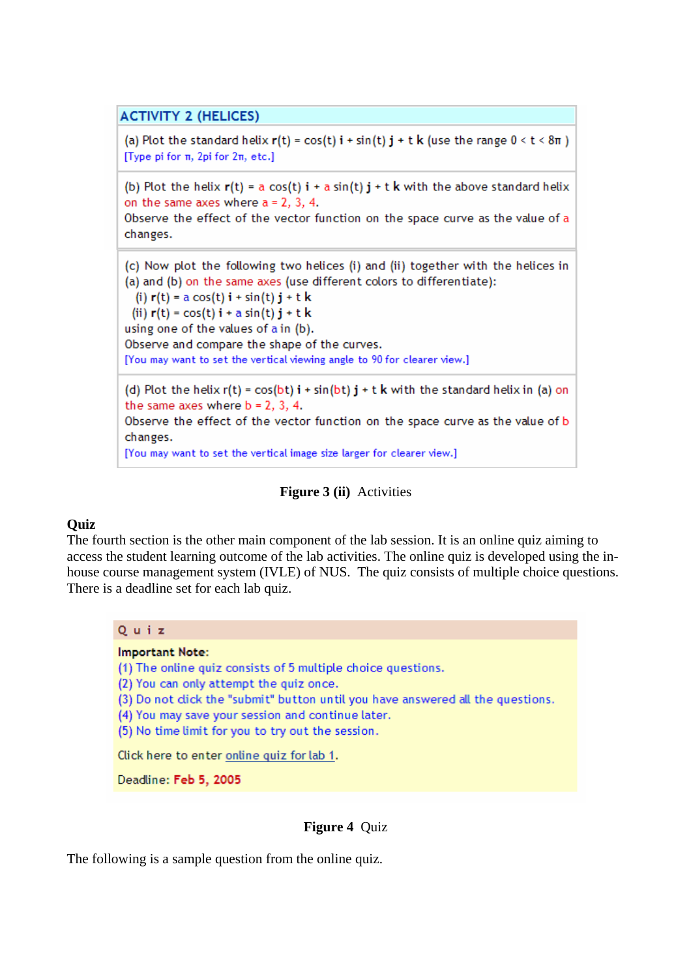### **ACTIVITY 2 (HELICES)**

(a) Plot the standard helix  $r(t) = cos(t) i + sin(t) j + t k$  (use the range  $0 < t < 8\pi$ ) [Type pi for π, 2pi for 2π, etc.]

(b) Plot the helix  $r(t) = a cos(t) i + a sin(t) j + t k$  with the above standard helix on the same axes where  $a = 2, 3, 4$ .

Observe the effect of the vector function on the space curve as the value of a changes.

(c) Now plot the following two helices (i) and (ii) together with the helices in (a) and (b) on the same axes (use different colors to differentiate): (i)  $r(t) = a cos(t) i + sin(t) j + t k$ (ii)  $r(t) = cos(t) i + a sin(t) j + t k$ using one of the values of a in (b).

Observe and compare the shape of the curves. [You may want to set the vertical viewing angle to 90 for clearer view.]

(d) Plot the helix  $r(t) = cos(bt) i + sin(bt) j + t k$  with the standard helix in (a) on the same axes where  $b = 2, 3, 4$ . Observe the effect of the vector function on the space curve as the value of b changes. [You may want to set the vertical image size larger for clearer view.]

#### **Figure 3 (ii)** Activities

#### **Quiz**

The fourth section is the other main component of the lab session. It is an online quiz aiming to access the student learning outcome of the lab activities. The online quiz is developed using the inhouse course management system (IVLE) of NUS. The quiz consists of multiple choice questions. There is a deadline set for each lab quiz.



**Important Note:** 

(1) The online quiz consists of 5 multiple choice questions.

(2) You can only attempt the quiz once.

(3) Do not dick the "submit" button until you have answered all the questions.

(4) You may save your session and continue later.

(5) No time limit for you to try out the session.

Click here to enter online quiz for lab 1.

Deadline: Feb 5, 2005

#### **Figure 4** Quiz

The following is a sample question from the online quiz.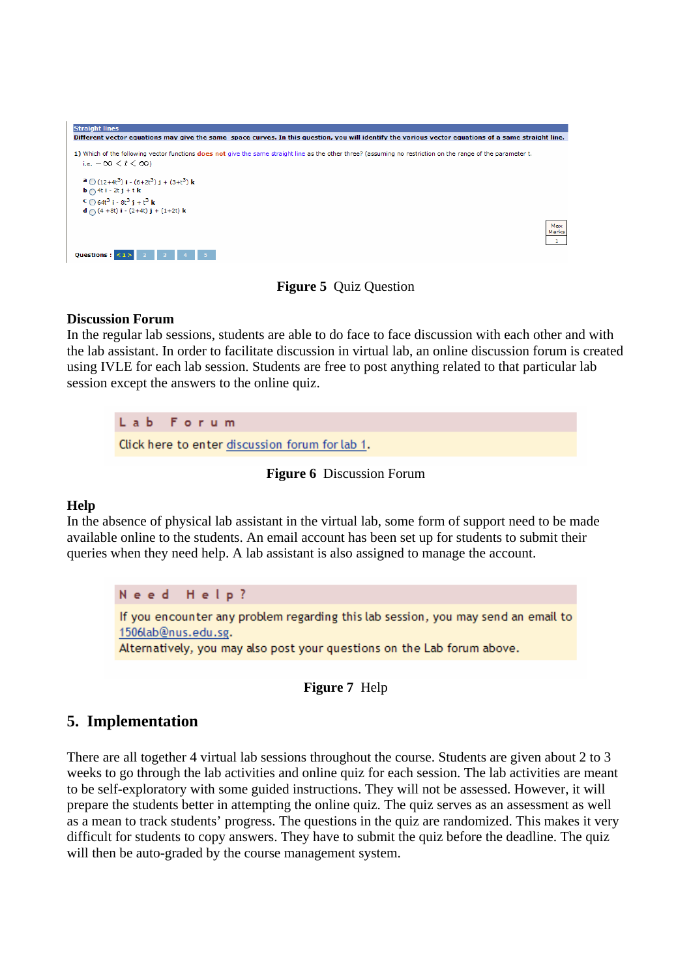| <b>Straight lines</b>                                                                                                                                                |       |  |  |  |  |  |  |
|----------------------------------------------------------------------------------------------------------------------------------------------------------------------|-------|--|--|--|--|--|--|
| Different vector equations may give the same space curves. In this question, you will identify the various vector equations of a same straight line.                 |       |  |  |  |  |  |  |
|                                                                                                                                                                      |       |  |  |  |  |  |  |
| 1) Which of the following vector functions <b>does not</b> give the same straight line as the other three? (assuming no restriction on the range of the parameter t. |       |  |  |  |  |  |  |
| i.e. $-00 < t < 00$                                                                                                                                                  |       |  |  |  |  |  |  |
| <b>a</b> $\bigcirc$ (12+4t <sup>3</sup> ) <b>i</b> - (6+2t <sup>3</sup> ) <b>i</b> + (3+t <sup>3</sup> ) <b>k</b>                                                    |       |  |  |  |  |  |  |
| $\mathbf{b} \bigcap 4\mathbf{t}$ i - 2t j + t k                                                                                                                      |       |  |  |  |  |  |  |
| $C$ 64t <sup>3</sup> i - 8t <sup>3</sup> i + t <sup>3</sup> k                                                                                                        |       |  |  |  |  |  |  |
| $d \bigcap (4 + 8t) i - (2 + 4t) j + (1 + 2t) k$                                                                                                                     |       |  |  |  |  |  |  |
|                                                                                                                                                                      | Max   |  |  |  |  |  |  |
|                                                                                                                                                                      | Marks |  |  |  |  |  |  |
|                                                                                                                                                                      |       |  |  |  |  |  |  |
| Questions : $\leq$                                                                                                                                                   |       |  |  |  |  |  |  |

**Figure 5** Quiz Question

#### **Discussion Forum**

In the regular lab sessions, students are able to do face to face discussion with each other and with the lab assistant. In order to facilitate discussion in virtual lab, an online discussion forum is created using IVLE for each lab session. Students are free to post anything related to that particular lab session except the answers to the online quiz.

 $L$  a  $b$ Forum Click here to enter discussion forum for lab 1.

**Figure 6** Discussion Forum

#### **Help**

In the absence of physical lab assistant in the virtual lab, some form of support need to be made available online to the students. An email account has been set up for students to submit their queries when they need help. A lab assistant is also assigned to manage the account.

Need Help? If you encounter any problem regarding this lab session, you may send an email to 1506lab@nus.edu.sg. Alternatively, you may also post your questions on the Lab forum above.

**Figure 7** Help

# **5. Implementation**

There are all together 4 virtual lab sessions throughout the course. Students are given about 2 to 3 weeks to go through the lab activities and online quiz for each session. The lab activities are meant to be self-exploratory with some guided instructions. They will not be assessed. However, it will prepare the students better in attempting the online quiz. The quiz serves as an assessment as well as a mean to track students' progress. The questions in the quiz are randomized. This makes it very difficult for students to copy answers. They have to submit the quiz before the deadline. The quiz will then be auto-graded by the course management system.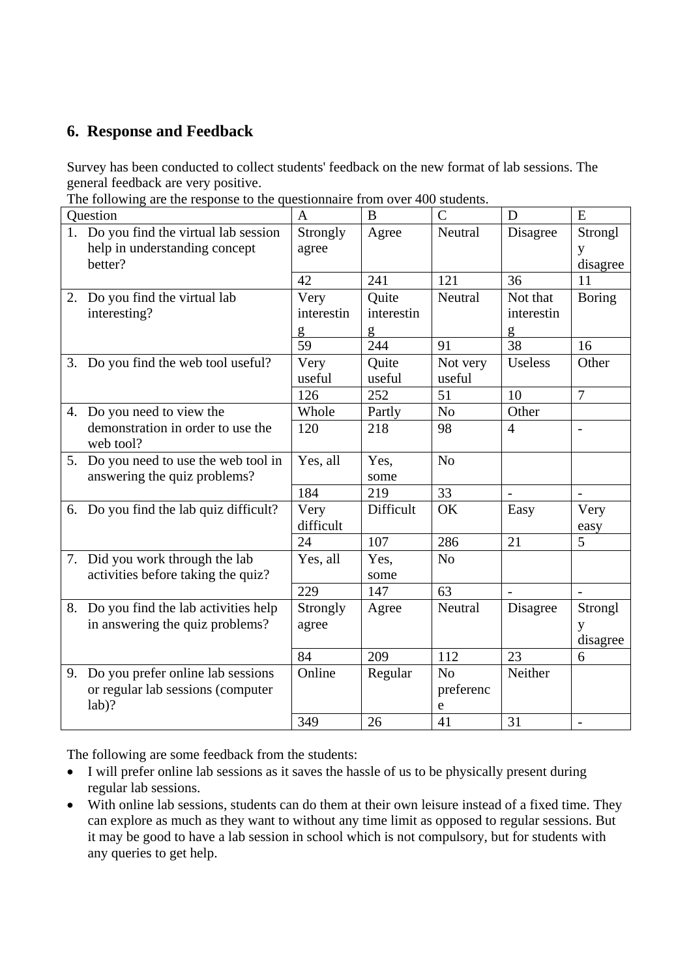# **6. Response and Feedback**

Survey has been conducted to collect students' feedback on the new format of lab sessions. The general feedback are very positive.

The following are the response to the questionnaire from over 400 students.

| The following are the response to the questionnane from over 400 students. |              |            |                |                |                |
|----------------------------------------------------------------------------|--------------|------------|----------------|----------------|----------------|
| Question                                                                   | $\mathbf{A}$ | B          | $\mathcal{C}$  | D              | E              |
| 1. Do you find the virtual lab session                                     | Strongly     | Agree      | Neutral        | Disagree       | Strongl        |
| help in understanding concept                                              | agree        |            |                |                | y              |
| better?                                                                    |              |            |                |                | disagree       |
|                                                                            | 42           | 241        | 121            | 36             | 11             |
| 2. Do you find the virtual lab                                             | Very         | Quite      | Neutral        | Not that       | <b>Boring</b>  |
| interesting?                                                               | interestin   | interestin |                | interestin     |                |
|                                                                            | g            | g          |                | g              |                |
|                                                                            | 59           | 244        | 91             | 38             | 16             |
| 3. Do you find the web tool useful?                                        | Very         | Quite      | Not very       | <b>Useless</b> | Other          |
|                                                                            | useful       | useful     | useful         |                |                |
|                                                                            | 126          | 252        | 51             | 10             | $\overline{7}$ |
| 4. Do you need to view the                                                 | Whole        | Partly     | No             | Other          |                |
| demonstration in order to use the                                          | 120          | 218        | 98             | $\overline{4}$ | $\overline{a}$ |
| web tool?                                                                  |              |            |                |                |                |
| 5. Do you need to use the web tool in                                      | Yes, all     | Yes,       | N <sub>o</sub> |                |                |
| answering the quiz problems?                                               |              | some       |                |                |                |
|                                                                            | 184          | 219        | 33             |                |                |
| 6. Do you find the lab quiz difficult?                                     | Very         | Difficult  | OK             | Easy           | Very           |
|                                                                            | difficult    |            |                |                | easy           |
|                                                                            | 24           | 107        | 286            | 21             | $\overline{5}$ |
| 7. Did you work through the lab                                            | Yes, all     | Yes,       | N <sub>o</sub> |                |                |
| activities before taking the quiz?                                         |              | some       |                |                |                |
|                                                                            | 229          | 147        | 63             |                |                |
| 8. Do you find the lab activities help                                     | Strongly     | Agree      | Neutral        | Disagree       | Strongl        |
| in answering the quiz problems?                                            | agree        |            |                |                | y              |
|                                                                            |              |            |                |                | disagree       |
|                                                                            | 84           | 209        | 112            | 23             | 6              |
| 9. Do you prefer online lab sessions                                       | Online       | Regular    | No             | Neither        |                |
| or regular lab sessions (computer                                          |              |            | preferenc      |                |                |
| $lab$ ?                                                                    |              |            | e              |                |                |
|                                                                            | 349          | 26         | 41             | 31             |                |
|                                                                            |              |            |                |                |                |

The following are some feedback from the students:

- I will prefer online lab sessions as it saves the hassle of us to be physically present during regular lab sessions.
- With online lab sessions, students can do them at their own leisure instead of a fixed time. They can explore as much as they want to without any time limit as opposed to regular sessions. But it may be good to have a lab session in school which is not compulsory, but for students with any queries to get help.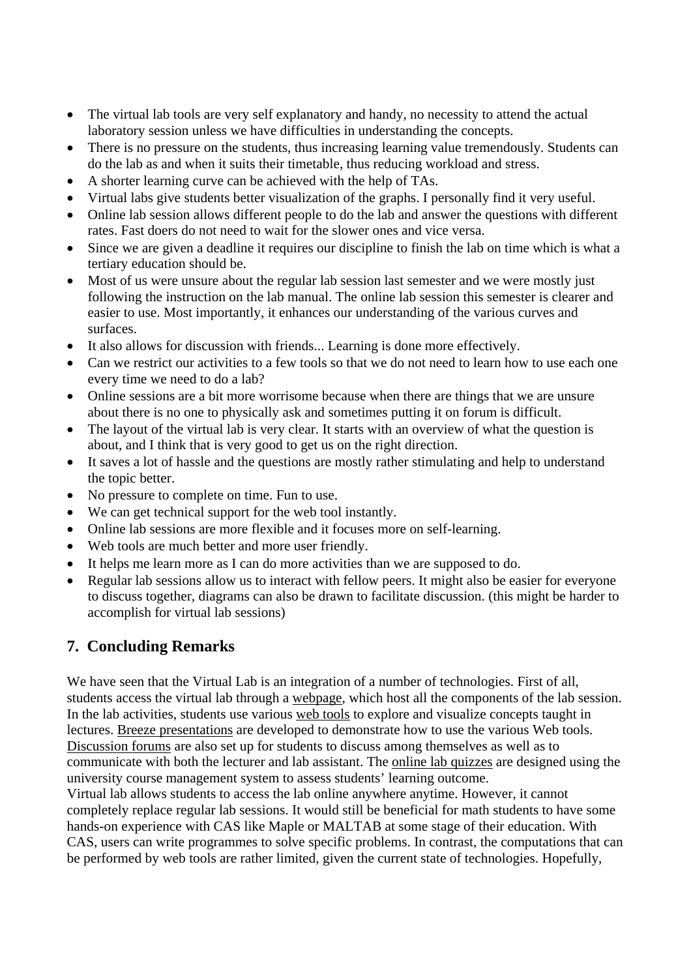- The virtual lab tools are very self explanatory and handy, no necessity to attend the actual laboratory session unless we have difficulties in understanding the concepts.
- There is no pressure on the students, thus increasing learning value tremendously. Students can do the lab as and when it suits their timetable, thus reducing workload and stress.
- A shorter learning curve can be achieved with the help of TAs.
- Virtual labs give students better visualization of the graphs. I personally find it very useful.
- Online lab session allows different people to do the lab and answer the questions with different rates. Fast doers do not need to wait for the slower ones and vice versa.
- Since we are given a deadline it requires our discipline to finish the lab on time which is what a tertiary education should be.
- Most of us were unsure about the regular lab session last semester and we were mostly just following the instruction on the lab manual. The online lab session this semester is clearer and easier to use. Most importantly, it enhances our understanding of the various curves and surfaces.
- It also allows for discussion with friends... Learning is done more effectively.
- Can we restrict our activities to a few tools so that we do not need to learn how to use each one every time we need to do a lab?
- Online sessions are a bit more worrisome because when there are things that we are unsure about there is no one to physically ask and sometimes putting it on forum is difficult.
- The layout of the virtual lab is very clear. It starts with an overview of what the question is about, and I think that is very good to get us on the right direction.
- It saves a lot of hassle and the questions are mostly rather stimulating and help to understand the topic better.
- No pressure to complete on time. Fun to use.
- We can get technical support for the web tool instantly.
- Online lab sessions are more flexible and it focuses more on self-learning.
- Web tools are much better and more user friendly.
- It helps me learn more as I can do more activities than we are supposed to do.
- Regular lab sessions allow us to interact with fellow peers. It might also be easier for everyone to discuss together, diagrams can also be drawn to facilitate discussion. (this might be harder to accomplish for virtual lab sessions)

# **7. Concluding Remarks**

We have seen that the Virtual Lab is an integration of a number of technologies. First of all, students access the virtual lab through a webpage, which host all the components of the lab session. In the lab activities, students use various web tools to explore and visualize concepts taught in lectures. Breeze presentations are developed to demonstrate how to use the various Web tools. Discussion forums are also set up for students to discuss among themselves as well as to communicate with both the lecturer and lab assistant. The online lab quizzes are designed using the university course management system to assess students' learning outcome.

Virtual lab allows students to access the lab online anywhere anytime. However, it cannot completely replace regular lab sessions. It would still be beneficial for math students to have some hands-on experience with CAS like Maple or MALTAB at some stage of their education. With CAS, users can write programmes to solve specific problems. In contrast, the computations that can be performed by web tools are rather limited, given the current state of technologies. Hopefully,